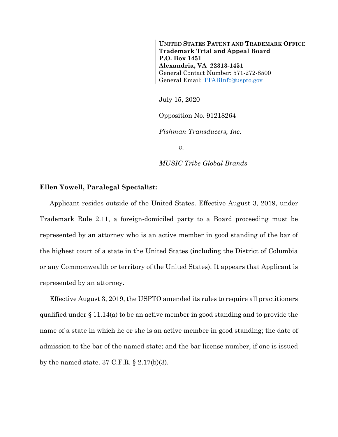**UNITED STATES PATENT AND TRADEMARK OFFICE Trademark Trial and Appeal Board P.O. Box 1451 Alexandria, VA 22313-1451** General Contact Number: 571-272-8500 General Email: [TTABInfo@uspto.gov](mailto:TTABInfo@uspto.gov)

July 15, 2020

Opposition No. 91218264

*Fishman Transducers, Inc.*

*v.*

*MUSIC Tribe Global Brands*

## **Ellen Yowell, Paralegal Specialist:**

Applicant resides outside of the United States. Effective August 3, 2019, under Trademark Rule 2.11, a foreign-domiciled party to a Board proceeding must be represented by an attorney who is an active member in good standing of the bar of the highest court of a state in the United States (including the District of Columbia or any Commonwealth or territory of the United States). It appears that Applicant is represented by an attorney.

Effective August 3, 2019, the USPTO amended its rules to require all practitioners qualified under § 11.14(a) to be an active member in good standing and to provide the name of a state in which he or she is an active member in good standing; the date of admission to the bar of the named state; and the bar license number, if one is issued by the named state. 37 C.F.R.  $\S 2.17(b)(3)$ .